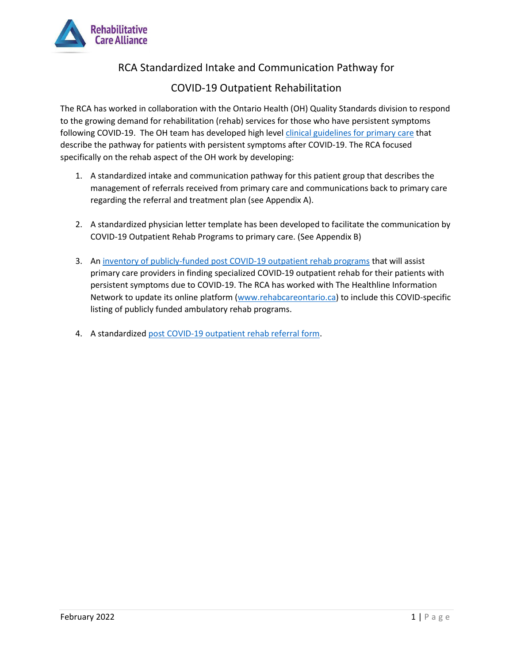

## RCA Standardized Intake and Communication Pathway for

## COVID-19 Outpatient Rehabilitation

The RCA has worked in collaboration with the Ontario Health (OH) Quality Standards division to respond to the growing demand for rehabilitation (rehab) services for those who have persistent symptoms following COVID-19. The OH team has developed high level [clinical guidelines for primary care](https://www.ontariohealth.ca/sites/ontariohealth/files/2021-12/PostCovidConditionsClinicalGuidance_EN.pdf) that describe the pathway for patients with persistent symptoms after COVID-19. The RCA focused specifically on the rehab aspect of the OH work by developing:

- 1. A standardized intake and communication pathway for this patient group that describes the management of referrals received from primary care and communications back to primary care regarding the referral and treatment plan (see Appendix A).
- 2. A standardized physician letter template has been developed to facilitate the communication by COVID-19 Outpatient Rehab Programs to primary care. (See Appendix B)
- 3. A[n inventory of publicly-funded post COVID-19 outpatient rehab programs](https://rehabcareontario.ca/47/COVID-19_Outpatient_Rehabilitation_Programs/) that will assist primary care providers in finding specialized COVID-19 outpatient rehab for their patients with persistent symptoms due to COVID-19. The RCA has worked with The Healthline Information Network to update its online platform [\(www.rehabcareontario.ca\)](http://www.rehabcareontario.ca/) to include this COVID-specific listing of publicly funded ambulatory rehab programs.
- 4. A standardized [post COVID-19 outpatient rehab referral form.](http://rehabcarealliance.ca/post-covid-opr-referral-form)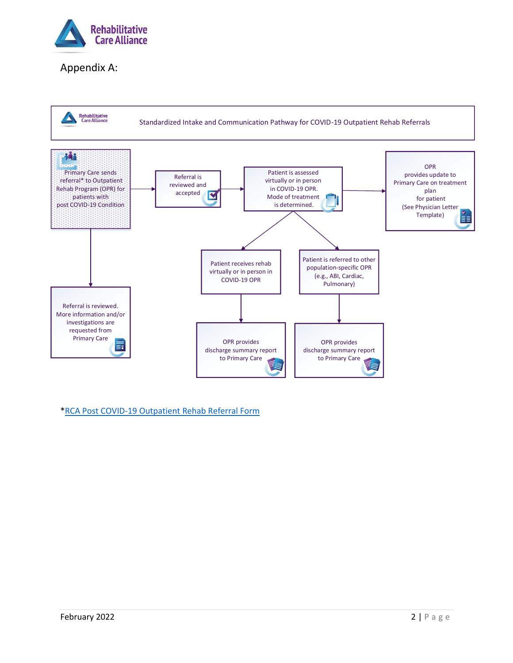

## Appendix A:



\*RCA Post COVID-19 [Outpatient Rehab Referral Form](http://rehabcarealliance.ca/post-covid-opr-referral-form)